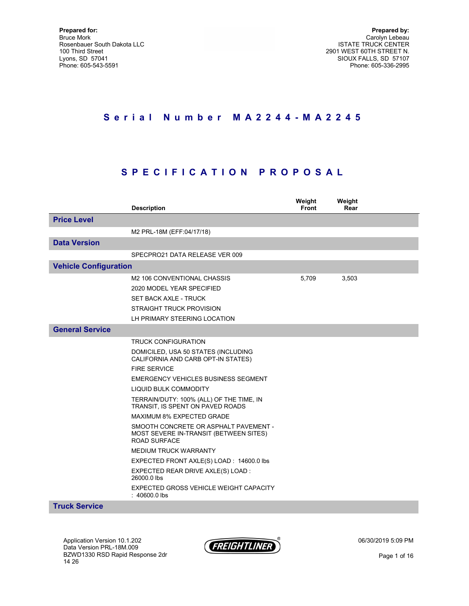# S e r i a l N u m b e r M A 2 2 4 4 - M A 2 2 4 5

# S P E C I F I C A T I O N P R O P O S A L

|                              | <b>Description</b>                                                                                     | Weight<br><b>Front</b> | Weight<br>Rear |  |
|------------------------------|--------------------------------------------------------------------------------------------------------|------------------------|----------------|--|
| <b>Price Level</b>           |                                                                                                        |                        |                |  |
|                              | M2 PRL-18M (EFF:04/17/18)                                                                              |                        |                |  |
| <b>Data Version</b>          |                                                                                                        |                        |                |  |
|                              | SPECPRO21 DATA RELEASE VER 009                                                                         |                        |                |  |
| <b>Vehicle Configuration</b> |                                                                                                        |                        |                |  |
|                              | M2 106 CONVENTIONAL CHASSIS                                                                            | 5,709                  | 3,503          |  |
|                              | 2020 MODEL YEAR SPECIFIED                                                                              |                        |                |  |
|                              | <b>SET BACK AXLE - TRUCK</b>                                                                           |                        |                |  |
|                              | <b>STRAIGHT TRUCK PROVISION</b>                                                                        |                        |                |  |
|                              | LH PRIMARY STEERING LOCATION                                                                           |                        |                |  |
| <b>General Service</b>       |                                                                                                        |                        |                |  |
|                              | <b>TRUCK CONFIGURATION</b>                                                                             |                        |                |  |
|                              | DOMICILED, USA 50 STATES (INCLUDING<br>CALIFORNIA AND CARB OPT-IN STATES)                              |                        |                |  |
|                              | <b>FIRE SERVICE</b>                                                                                    |                        |                |  |
|                              | <b>EMERGENCY VEHICLES BUSINESS SEGMENT</b>                                                             |                        |                |  |
|                              | <b>LIQUID BULK COMMODITY</b>                                                                           |                        |                |  |
|                              | TERRAIN/DUTY: 100% (ALL) OF THE TIME, IN<br>TRANSIT, IS SPENT ON PAVED ROADS                           |                        |                |  |
|                              | MAXIMUM 8% EXPECTED GRADE                                                                              |                        |                |  |
|                              | SMOOTH CONCRETE OR ASPHALT PAVEMENT -<br>MOST SEVERE IN-TRANSIT (BETWEEN SITES)<br><b>ROAD SURFACE</b> |                        |                |  |
|                              | <b>MEDIUM TRUCK WARRANTY</b>                                                                           |                        |                |  |
|                              | EXPECTED FRONT AXLE(S) LOAD: 14600.0 lbs                                                               |                        |                |  |
|                              | EXPECTED REAR DRIVE AXLE(S) LOAD :<br>26000.0 lbs                                                      |                        |                |  |
|                              | EXPECTED GROSS VEHICLE WEIGHT CAPACITY<br>$: 40600.0$ lbs                                              |                        |                |  |
| <b>Truck Service</b>         |                                                                                                        |                        |                |  |

Application Version 10.1.202 Data Version PRL-18M.009 BZWD1330 RSD Rapid Response 2dr 14 26



06/30/2019 5:09 PM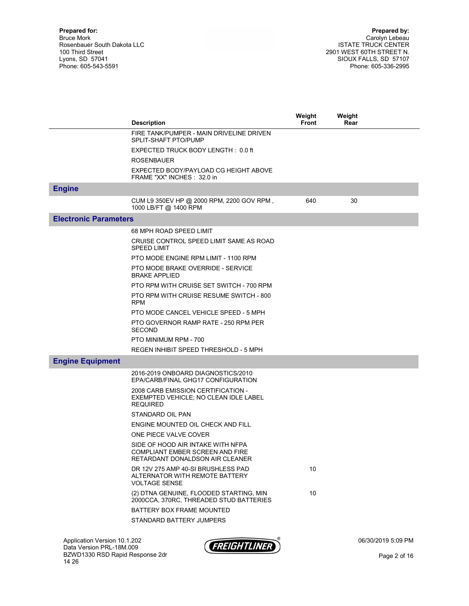|                              | <b>Description</b>                                                                                      | Weight<br><b>Front</b> | Weight<br>Rear |  |
|------------------------------|---------------------------------------------------------------------------------------------------------|------------------------|----------------|--|
|                              | FIRE TANK/PUMPER - MAIN DRIVELINE DRIVEN<br>SPLIT-SHAFT PTO/PUMP                                        |                        |                |  |
|                              | EXPECTED TRUCK BODY LENGTH: 0.0 ft                                                                      |                        |                |  |
|                              | <b>ROSENBAUER</b>                                                                                       |                        |                |  |
|                              | EXPECTED BODY/PAYLOAD CG HEIGHT ABOVE<br>FRAME "XX" INCHES: 32.0 in                                     |                        |                |  |
| <b>Engine</b>                |                                                                                                         |                        |                |  |
|                              | CUM L9 350EV HP @ 2000 RPM, 2200 GOV RPM,<br>1000 LB/FT @ 1400 RPM                                      | 640                    | 30             |  |
| <b>Electronic Parameters</b> |                                                                                                         |                        |                |  |
|                              | 68 MPH ROAD SPEED LIMIT                                                                                 |                        |                |  |
|                              | CRUISE CONTROL SPEED LIMIT SAME AS ROAD<br><b>SPEED LIMIT</b>                                           |                        |                |  |
|                              | PTO MODE ENGINE RPM LIMIT - 1100 RPM                                                                    |                        |                |  |
|                              | PTO MODE BRAKE OVERRIDE - SERVICE<br><b>BRAKE APPLIED</b>                                               |                        |                |  |
|                              | PTO RPM WITH CRUISE SET SWITCH - 700 RPM                                                                |                        |                |  |
|                              | PTO RPM WITH CRUISE RESUME SWITCH - 800<br><b>RPM</b>                                                   |                        |                |  |
|                              | PTO MODE CANCEL VEHICLE SPEED - 5 MPH                                                                   |                        |                |  |
|                              | PTO GOVERNOR RAMP RATE - 250 RPM PER<br><b>SECOND</b>                                                   |                        |                |  |
|                              | PTO MINIMUM RPM - 700                                                                                   |                        |                |  |
|                              | REGEN INHIBIT SPEED THRESHOLD - 5 MPH                                                                   |                        |                |  |
| <b>Engine Equipment</b>      |                                                                                                         |                        |                |  |
|                              | 2016-2019 ONBOARD DIAGNOSTICS/2010<br>EPA/CARB/FINAL GHG17 CONFIGURATION                                |                        |                |  |
|                              | 2008 CARB EMISSION CERTIFICATION -<br>EXEMPTED VEHICLE; NO CLEAN IDLE LABEL<br><b>REQUIRED</b>          |                        |                |  |
|                              | STANDARD OIL PAN                                                                                        |                        |                |  |
|                              | ENGINE MOUNTED OIL CHECK AND FILL                                                                       |                        |                |  |
|                              | ONE PIECE VALVE COVER                                                                                   |                        |                |  |
|                              | SIDE OF HOOD AIR INTAKE WITH NFPA<br>COMPLIANT EMBER SCREEN AND FIRE<br>RETARDANT DONALDSON AIR CLEANER |                        |                |  |
|                              | DR 12V 275 AMP 40-SI BRUSHLESS PAD<br>ALTERNATOR WITH REMOTE BATTERY<br><b>VOLTAGE SENSE</b>            | 10                     |                |  |
|                              | (2) DTNA GENUINE, FLOODED STARTING, MIN<br>2000CCA, 370RC, THREADED STUD BATTERIES                      | 10                     |                |  |
|                              | BATTERY BOX FRAME MOUNTED                                                                               |                        |                |  |
|                              | STANDARD BATTERY JUMPERS                                                                                |                        |                |  |
|                              |                                                                                                         |                        |                |  |

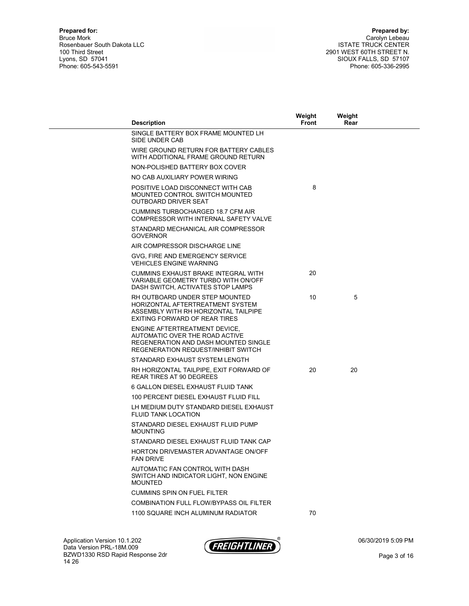| <b>Description</b>                                                                                                                             | Weight<br>Front | Weight<br>Rear |  |
|------------------------------------------------------------------------------------------------------------------------------------------------|-----------------|----------------|--|
| SINGLE BATTERY BOX FRAME MOUNTED LH<br>SIDE UNDER CAB                                                                                          |                 |                |  |
| WIRE GROUND RETURN FOR BATTERY CABLES<br>WITH ADDITIONAL FRAME GROUND RETURN                                                                   |                 |                |  |
| NON-POLISHED BATTERY BOX COVER                                                                                                                 |                 |                |  |
| NO CAB AUXILIARY POWER WIRING                                                                                                                  |                 |                |  |
| POSITIVE LOAD DISCONNECT WITH CAB<br>MOUNTED CONTROL SWITCH MOUNTED<br>OUTBOARD DRIVER SEAT                                                    | 8               |                |  |
| <b>CUMMINS TURBOCHARGED 18.7 CFM AIR</b><br>COMPRESSOR WITH INTERNAL SAFETY VALVE                                                              |                 |                |  |
| STANDARD MECHANICAL AIR COMPRESSOR<br><b>GOVERNOR</b>                                                                                          |                 |                |  |
| AIR COMPRESSOR DISCHARGE LINE                                                                                                                  |                 |                |  |
| GVG, FIRE AND EMERGENCY SERVICE<br><b>VEHICLES ENGINE WARNING</b>                                                                              |                 |                |  |
| CUMMINS EXHAUST BRAKE INTEGRAL WITH<br>VARIABLE GEOMETRY TURBO WITH ON/OFF<br>DASH SWITCH, ACTIVATES STOP LAMPS                                | 20              |                |  |
| RH OUTBOARD UNDER STEP MOUNTED<br>HORIZONTAL AFTERTREATMENT SYSTEM<br>ASSEMBLY WITH RH HORIZONTAL TAILPIPE<br>EXITING FORWARD OF REAR TIRES    | 10              | 5              |  |
| ENGINE AFTERTREATMENT DEVICE.<br>AUTOMATIC OVER THE ROAD ACTIVE<br>REGENERATION AND DASH MOUNTED SINGLE<br>REGENERATION REQUEST/INHIBIT SWITCH |                 |                |  |
| STANDARD EXHAUST SYSTEM LENGTH                                                                                                                 |                 |                |  |
| RH HORIZONTAL TAILPIPE, EXIT FORWARD OF<br><b>REAR TIRES AT 90 DEGREES</b>                                                                     | 20              | 20             |  |
| 6 GALLON DIESEL EXHAUST FLUID TANK                                                                                                             |                 |                |  |
| 100 PERCENT DIESEL EXHAUST FLUID FILL                                                                                                          |                 |                |  |
| LH MEDIUM DUTY STANDARD DIESEL EXHAUST<br><b>FLUID TANK LOCATION</b>                                                                           |                 |                |  |
| STANDARD DIESEL EXHAUST FLUID PUMP<br><b>MOUNTING</b>                                                                                          |                 |                |  |
| STANDARD DIESEL EXHAUST FLUID TANK CAP                                                                                                         |                 |                |  |
| HORTON DRIVEMASTER ADVANTAGE ON/OFF<br>FAN DRIVE                                                                                               |                 |                |  |
| AUTOMATIC FAN CONTROL WITH DASH<br>SWITCH AND INDICATOR LIGHT, NON ENGINE<br><b>MOUNTED</b>                                                    |                 |                |  |
| <b>CUMMINS SPIN ON FUEL FILTER</b>                                                                                                             |                 |                |  |
| COMBINATION FULL FLOW/BYPASS OIL FILTER                                                                                                        |                 |                |  |
| 1100 SQUARE INCH ALUMINUM RADIATOR                                                                                                             | 70              |                |  |

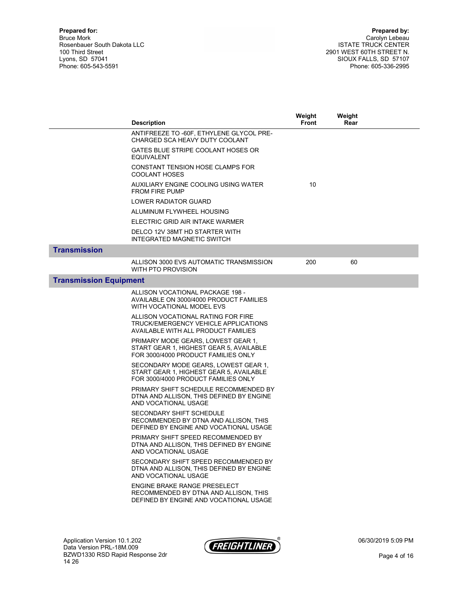| ANTIFREEZE TO -60F, ETHYLENE GLYCOL PRE-<br>CHARGED SCA HEAVY DUTY COOLANT<br>GATES BLUE STRIPE COOLANT HOSES OR<br>EQUIVALENT<br>CONSTANT TENSION HOSE CLAMPS FOR |  |
|--------------------------------------------------------------------------------------------------------------------------------------------------------------------|--|
|                                                                                                                                                                    |  |
|                                                                                                                                                                    |  |
| <b>COOLANT HOSES</b>                                                                                                                                               |  |
| 10<br>AUXILIARY ENGINE COOLING USING WATER<br><b>FROM FIRE PUMP</b>                                                                                                |  |
| LOWER RADIATOR GUARD                                                                                                                                               |  |
| ALUMINUM FLYWHEEL HOUSING                                                                                                                                          |  |
| ELECTRIC GRID AIR INTAKE WARMER                                                                                                                                    |  |
| DELCO 12V 38MT HD STARTER WITH<br>INTEGRATED MAGNETIC SWITCH                                                                                                       |  |
| <b>Transmission</b>                                                                                                                                                |  |
| 200<br>60<br>ALLISON 3000 EVS AUTOMATIC TRANSMISSION<br>WITH PTO PROVISION                                                                                         |  |
| <b>Transmission Equipment</b>                                                                                                                                      |  |
| ALLISON VOCATIONAL PACKAGE 198 -<br>AVAILABLE ON 3000/4000 PRODUCT FAMILIES<br>WITH VOCATIONAL MODEL EVS                                                           |  |
| ALLISON VOCATIONAL RATING FOR FIRE<br>TRUCK/EMERGENCY VEHICLE APPLICATIONS<br>AVAILABLE WITH ALL PRODUCT FAMILIES                                                  |  |
| PRIMARY MODE GEARS, LOWEST GEAR 1,<br>START GEAR 1, HIGHEST GEAR 5, AVAILABLE<br>FOR 3000/4000 PRODUCT FAMILIES ONLY                                               |  |
| SECONDARY MODE GEARS, LOWEST GEAR 1,<br>START GEAR 1, HIGHEST GEAR 5, AVAILABLE<br>FOR 3000/4000 PRODUCT FAMILIES ONLY                                             |  |
| PRIMARY SHIFT SCHEDULE RECOMMENDED BY<br>DTNA AND ALLISON, THIS DEFINED BY ENGINE<br>AND VOCATIONAL USAGE                                                          |  |
| <b>SECONDARY SHIFT SCHEDULE</b><br>RECOMMENDED BY DTNA AND ALLISON. THIS<br>DEFINED BY ENGINE AND VOCATIONAL USAGE                                                 |  |
| PRIMARY SHIFT SPEED RECOMMENDED BY<br>DTNA AND ALLISON, THIS DEFINED BY ENGINE<br>AND VOCATIONAL USAGE                                                             |  |
| SECONDARY SHIFT SPEED RECOMMENDED BY<br>DTNA AND ALLISON. THIS DEFINED BY ENGINE<br>AND VOCATIONAL USAGE                                                           |  |
| ENGINE BRAKE RANGE PRESELECT<br>RECOMMENDED BY DTNA AND ALLISON. THIS<br>DEFINED BY ENGINE AND VOCATIONAL USAGE                                                    |  |

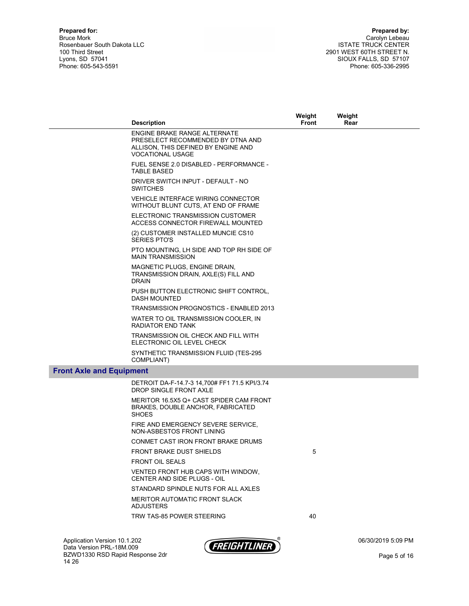|                                 | <b>Description</b>                                                                                                                         | Weight<br>Front | Weight<br>Rear |  |
|---------------------------------|--------------------------------------------------------------------------------------------------------------------------------------------|-----------------|----------------|--|
|                                 | <b>ENGINE BRAKE RANGE ALTERNATE</b><br>PRESELECT RECOMMENDED BY DTNA AND<br>ALLISON, THIS DEFINED BY ENGINE AND<br><b>VOCATIONAL USAGE</b> |                 |                |  |
|                                 | FUEL SENSE 2.0 DISABLED - PERFORMANCE -<br><b>TABLE BASED</b>                                                                              |                 |                |  |
|                                 | DRIVER SWITCH INPUT - DEFAULT - NO<br><b>SWITCHES</b>                                                                                      |                 |                |  |
|                                 | <b>VEHICLE INTERFACE WIRING CONNECTOR</b><br>WITHOUT BLUNT CUTS, AT END OF FRAME                                                           |                 |                |  |
|                                 | ELECTRONIC TRANSMISSION CUSTOMER<br>ACCESS CONNECTOR FIREWALL MOUNTED                                                                      |                 |                |  |
|                                 | (2) CUSTOMER INSTALLED MUNCIE CS10<br><b>SERIES PTO'S</b>                                                                                  |                 |                |  |
|                                 | PTO MOUNTING, LH SIDE AND TOP RH SIDE OF<br><b>MAIN TRANSMISSION</b>                                                                       |                 |                |  |
|                                 | MAGNETIC PLUGS, ENGINE DRAIN,<br>TRANSMISSION DRAIN, AXLE(S) FILL AND<br><b>DRAIN</b>                                                      |                 |                |  |
|                                 | PUSH BUTTON ELECTRONIC SHIFT CONTROL,<br><b>DASH MOUNTED</b>                                                                               |                 |                |  |
|                                 | TRANSMISSION PROGNOSTICS - ENABLED 2013                                                                                                    |                 |                |  |
|                                 | WATER TO OIL TRANSMISSION COOLER, IN<br><b>RADIATOR END TANK</b>                                                                           |                 |                |  |
|                                 | TRANSMISSION OIL CHECK AND FILL WITH<br>ELECTRONIC OIL LEVEL CHECK                                                                         |                 |                |  |
|                                 | SYNTHETIC TRANSMISSION FLUID (TES-295<br>COMPLIANT)                                                                                        |                 |                |  |
| <b>Front Axle and Equipment</b> |                                                                                                                                            |                 |                |  |
|                                 | DETROIT DA-F-14.7-3 14,700# FF1 71.5 KPI/3.74<br>DROP SINGLE FRONT AXLE                                                                    |                 |                |  |
|                                 | MERITOR 16.5X5 Q+ CAST SPIDER CAM FRONT<br>BRAKES, DOUBLE ANCHOR, FABRICATED<br><b>SHOES</b>                                               |                 |                |  |
|                                 | FIRE AND EMERGENCY SEVERE SERVICE,<br>NON-ASBESTOS FRONT LINING                                                                            |                 |                |  |
|                                 | CONMET CAST IRON FRONT BRAKE DRUMS                                                                                                         |                 |                |  |
|                                 | FRONT BRAKE DUST SHIELDS                                                                                                                   | 5               |                |  |
|                                 | <b>FRONT OIL SEALS</b>                                                                                                                     |                 |                |  |
|                                 | VENTED FRONT HUB CAPS WITH WINDOW,<br>CENTER AND SIDE PLUGS - OIL                                                                          |                 |                |  |
|                                 | STANDARD SPINDLE NUTS FOR ALL AXLES                                                                                                        |                 |                |  |
|                                 | <b>MERITOR AUTOMATIC FRONT SLACK</b><br><b>ADJUSTERS</b>                                                                                   |                 |                |  |
|                                 | TRW TAS-85 POWER STEERING                                                                                                                  | 40              |                |  |



06/30/2019 5:09 PM

Page 5 of 16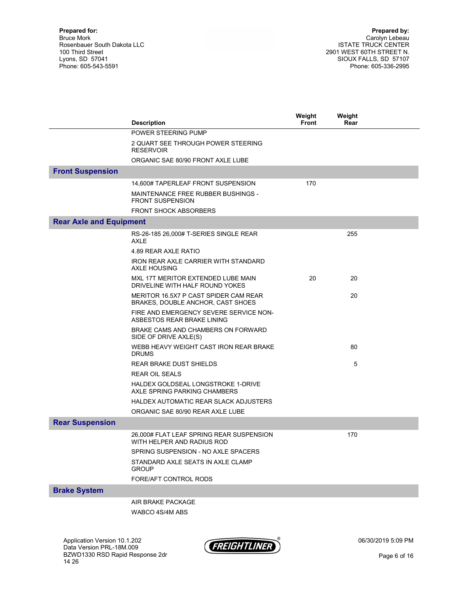|                                | <b>Description</b>                                                         | Weight<br><b>Front</b> | Weight<br>Rear |  |
|--------------------------------|----------------------------------------------------------------------------|------------------------|----------------|--|
|                                | POWER STEERING PUMP                                                        |                        |                |  |
|                                | 2 QUART SEE THROUGH POWER STEERING<br><b>RESERVOIR</b>                     |                        |                |  |
|                                | ORGANIC SAE 80/90 FRONT AXLE LUBE                                          |                        |                |  |
| <b>Front Suspension</b>        |                                                                            |                        |                |  |
|                                | 14,600# TAPERLEAF FRONT SUSPENSION                                         | 170                    |                |  |
|                                | MAINTENANCE FREE RUBBER BUSHINGS -<br><b>FRONT SUSPENSION</b>              |                        |                |  |
|                                | <b>FRONT SHOCK ABSORBERS</b>                                               |                        |                |  |
| <b>Rear Axle and Equipment</b> |                                                                            |                        |                |  |
|                                | RS-26-185 26,000# T-SERIES SINGLE REAR<br><b>AXLE</b>                      |                        | 255            |  |
|                                | 4.89 REAR AXLE RATIO                                                       |                        |                |  |
|                                | IRON REAR AXLE CARRIER WITH STANDARD<br><b>AXLE HOUSING</b>                |                        |                |  |
|                                | MXL 17T MERITOR EXTENDED LUBE MAIN<br>DRIVELINE WITH HALF ROUND YOKES      | 20                     | 20             |  |
|                                | MERITOR 16.5X7 P CAST SPIDER CAM REAR<br>BRAKES, DOUBLE ANCHOR, CAST SHOES |                        | 20             |  |
|                                | FIRE AND EMERGENCY SEVERE SERVICE NON-<br>ASBESTOS REAR BRAKE LINING       |                        |                |  |
|                                | BRAKE CAMS AND CHAMBERS ON FORWARD<br>SIDE OF DRIVE AXLE(S)                |                        |                |  |
|                                | WEBB HEAVY WEIGHT CAST IRON REAR BRAKE<br><b>DRUMS</b>                     |                        | 80             |  |
|                                | <b>REAR BRAKE DUST SHIELDS</b>                                             |                        | 5              |  |
|                                | <b>REAR OIL SEALS</b>                                                      |                        |                |  |
|                                | HALDEX GOLDSEAL LONGSTROKE 1-DRIVE<br>AXLE SPRING PARKING CHAMBERS         |                        |                |  |
|                                | HALDEX AUTOMATIC REAR SLACK ADJUSTERS                                      |                        |                |  |
|                                | ORGANIC SAE 80/90 REAR AXLE LUBE                                           |                        |                |  |
| <b>Rear Suspension</b>         |                                                                            |                        |                |  |
|                                | 26,000# FLAT LEAF SPRING REAR SUSPENSION<br>WITH HELPER AND RADIUS ROD     |                        | 170            |  |
|                                | SPRING SUSPENSION - NO AXLE SPACERS                                        |                        |                |  |
|                                | STANDARD AXLE SEATS IN AXLE CLAMP<br><b>GROUP</b>                          |                        |                |  |
|                                | FORE/AFT CONTROL RODS                                                      |                        |                |  |
| <b>Brake System</b>            |                                                                            |                        |                |  |
|                                | AIR BRAKE PACKAGE                                                          |                        |                |  |
|                                | WABCO 4S/4M ABS                                                            |                        |                |  |



06/30/2019 5:09 PM

Page 6 of 16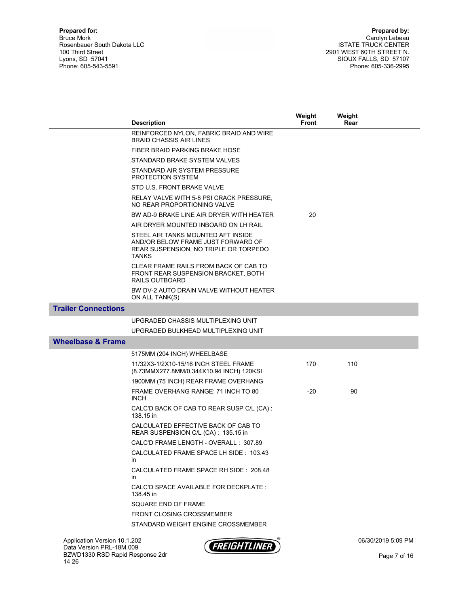|                              | <b>Description</b>                                                                                                                | Weight<br><b>Front</b> | Weight<br>Rear |  |
|------------------------------|-----------------------------------------------------------------------------------------------------------------------------------|------------------------|----------------|--|
|                              | REINFORCED NYLON, FABRIC BRAID AND WIRE                                                                                           |                        |                |  |
|                              | <b>BRAID CHASSIS AIR LINES</b>                                                                                                    |                        |                |  |
|                              | FIBER BRAID PARKING BRAKE HOSE                                                                                                    |                        |                |  |
|                              | STANDARD BRAKE SYSTEM VALVES                                                                                                      |                        |                |  |
|                              | STANDARD AIR SYSTEM PRESSURE<br><b>PROTECTION SYSTEM</b>                                                                          |                        |                |  |
|                              | STD U.S. FRONT BRAKE VALVE                                                                                                        |                        |                |  |
|                              | RELAY VALVE WITH 5-8 PSI CRACK PRESSURE,<br>NO REAR PROPORTIONING VALVE                                                           |                        |                |  |
|                              | BW AD-9 BRAKE LINE AIR DRYER WITH HEATER                                                                                          | 20                     |                |  |
|                              | AIR DRYER MOUNTED INBOARD ON LH RAIL                                                                                              |                        |                |  |
|                              | STEEL AIR TANKS MOUNTED AFT INSIDE<br>AND/OR BELOW FRAME JUST FORWARD OF<br>REAR SUSPENSION, NO TRIPLE OR TORPEDO<br><b>TANKS</b> |                        |                |  |
|                              | CLEAR FRAME RAILS FROM BACK OF CAB TO<br>FRONT REAR SUSPENSION BRACKET, BOTH<br><b>RAILS OUTBOARD</b>                             |                        |                |  |
|                              | BW DV-2 AUTO DRAIN VALVE WITHOUT HEATER<br>ON ALL TANK(S)                                                                         |                        |                |  |
| <b>Trailer Connections</b>   |                                                                                                                                   |                        |                |  |
|                              | UPGRADED CHASSIS MULTIPLEXING UNIT                                                                                                |                        |                |  |
|                              | UPGRADED BULKHEAD MULTIPLEXING UNIT                                                                                               |                        |                |  |
| <b>Wheelbase &amp; Frame</b> |                                                                                                                                   |                        |                |  |
|                              | 5175MM (204 INCH) WHEELBASE                                                                                                       |                        |                |  |
|                              | 11/32X3-1/2X10-15/16 INCH STEEL FRAME<br>(8.73MMX277.8MM/0.344X10.94 INCH) 120KSI                                                 | 170                    | 110            |  |
|                              | 1900MM (75 INCH) REAR FRAME OVERHANG                                                                                              |                        |                |  |
|                              | FRAME OVERHANG RANGE: 71 INCH TO 80<br><b>INCH</b>                                                                                | -20                    | 90             |  |
|                              | CALC'D BACK OF CAB TO REAR SUSP C/L (CA):<br>138.15 in                                                                            |                        |                |  |
|                              | CALCULATED EFFECTIVE BACK OF CAB TO<br>REAR SUSPENSION C/L (CA): 135.15 in                                                        |                        |                |  |
|                              | CALC'D FRAME LENGTH - OVERALL : 307.89                                                                                            |                        |                |  |
|                              | CALCULATED FRAME SPACE LH SIDE: 103.43<br>in                                                                                      |                        |                |  |
|                              | CALCULATED FRAME SPACE RH SIDE: 208.48<br>in.                                                                                     |                        |                |  |
|                              | CALC'D SPACE AVAILABLE FOR DECKPLATE :<br>138.45 in                                                                               |                        |                |  |
|                              | SQUARE END OF FRAME                                                                                                               |                        |                |  |
|                              | FRONT CLOSING CROSSMEMBER                                                                                                         |                        |                |  |
|                              | STANDARD WEIGHT ENGINE CROSSMEMBER                                                                                                |                        |                |  |

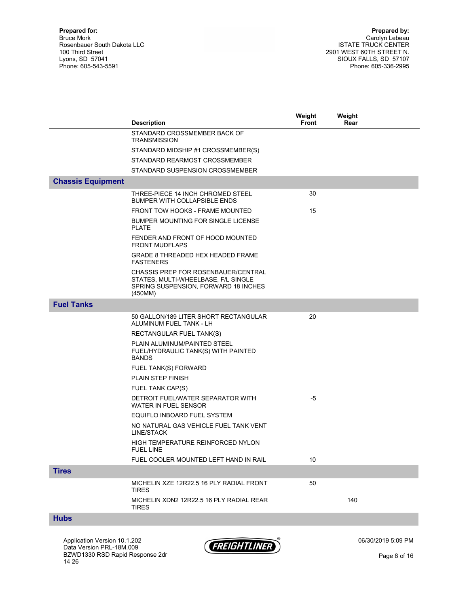|                          |                                                                                                                                      | Weight       | Weight |  |
|--------------------------|--------------------------------------------------------------------------------------------------------------------------------------|--------------|--------|--|
|                          | <b>Description</b>                                                                                                                   | <b>Front</b> | Rear   |  |
|                          | STANDARD CROSSMEMBER BACK OF<br><b>TRANSMISSION</b>                                                                                  |              |        |  |
|                          | STANDARD MIDSHIP #1 CROSSMEMBER(S)                                                                                                   |              |        |  |
|                          | STANDARD REARMOST CROSSMEMBER                                                                                                        |              |        |  |
|                          | STANDARD SUSPENSION CROSSMEMBER                                                                                                      |              |        |  |
| <b>Chassis Equipment</b> |                                                                                                                                      |              |        |  |
|                          | THREE-PIECE 14 INCH CHROMED STEEL<br><b>BUMPER WITH COLLAPSIBLE ENDS</b>                                                             | 30           |        |  |
|                          | FRONT TOW HOOKS - FRAME MOUNTED                                                                                                      | 15           |        |  |
|                          | BUMPER MOUNTING FOR SINGLE LICENSE<br><b>PLATE</b>                                                                                   |              |        |  |
|                          | FENDER AND FRONT OF HOOD MOUNTED<br><b>FRONT MUDFLAPS</b>                                                                            |              |        |  |
|                          | GRADE 8 THREADED HEX HEADED FRAME<br><b>FASTENERS</b>                                                                                |              |        |  |
|                          | <b>CHASSIS PREP FOR ROSENBAUER/CENTRAL</b><br>STATES, MULTI-WHEELBASE, F/L SINGLE<br>SPRING SUSPENSION, FORWARD 18 INCHES<br>(450MM) |              |        |  |
| <b>Fuel Tanks</b>        |                                                                                                                                      |              |        |  |
|                          | 50 GALLON/189 LITER SHORT RECTANGULAR<br>ALUMINUM FUEL TANK - LH                                                                     | 20           |        |  |
|                          | RECTANGULAR FUEL TANK(S)                                                                                                             |              |        |  |
|                          | PLAIN ALUMINUM/PAINTED STEEL<br>FUEL/HYDRAULIC TANK(S) WITH PAINTED<br><b>BANDS</b>                                                  |              |        |  |
|                          | FUEL TANK(S) FORWARD                                                                                                                 |              |        |  |
|                          | <b>PLAIN STEP FINISH</b>                                                                                                             |              |        |  |
|                          | FUEL TANK CAP(S)                                                                                                                     |              |        |  |
|                          | DETROIT FUEL/WATER SEPARATOR WITH<br>WATER IN FUEL SENSOR                                                                            | -5           |        |  |
|                          | EQUIFLO INBOARD FUEL SYSTEM                                                                                                          |              |        |  |
|                          | NO NATURAL GAS VEHICLE FUEL TANK VENT<br>LINE/STACK                                                                                  |              |        |  |
|                          | HIGH TEMPERATURE REINFORCED NYLON<br><b>FUEL LINE</b>                                                                                |              |        |  |
|                          | FUEL COOLER MOUNTED LEFT HAND IN RAIL                                                                                                | 10           |        |  |
| <b>Tires</b>             |                                                                                                                                      |              |        |  |
|                          | MICHELIN XZE 12R22.5 16 PLY RADIAL FRONT<br><b>TIRES</b>                                                                             | 50           |        |  |
|                          | MICHELIN XDN2 12R22.5 16 PLY RADIAL REAR<br>TIRES                                                                                    |              | 140    |  |
|                          |                                                                                                                                      |              |        |  |

#### Hubs

Application Version 10.1.202 Data Version PRL-18M.009 BZWD1330 RSD Rapid Response 2dr 14 26



06/30/2019 5:09 PM

Page 8 of 16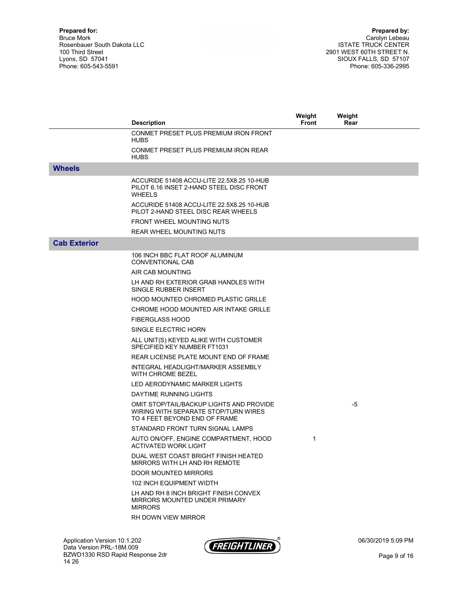|                     | <b>Description</b>                                                                                                | Weight<br><b>Front</b> | Weight<br>Rear |  |
|---------------------|-------------------------------------------------------------------------------------------------------------------|------------------------|----------------|--|
|                     | CONMET PRESET PLUS PREMIUM IRON FRONT<br><b>HUBS</b>                                                              |                        |                |  |
|                     | CONMET PRESET PLUS PREMIUM IRON REAR<br><b>HUBS</b>                                                               |                        |                |  |
| <b>Wheels</b>       |                                                                                                                   |                        |                |  |
|                     | ACCURIDE 51408 ACCU-LITE 22.5X8.25 10-HUB<br>PILOT 6.16 INSET 2-HAND STEEL DISC FRONT<br><b>WHEELS</b>            |                        |                |  |
|                     | ACCURIDE 51408 ACCU-LITE 22.5X8.25 10-HUB<br>PILOT 2-HAND STEEL DISC REAR WHEELS                                  |                        |                |  |
|                     | <b>FRONT WHEEL MOUNTING NUTS</b>                                                                                  |                        |                |  |
|                     | <b>REAR WHEEL MOUNTING NUTS</b>                                                                                   |                        |                |  |
| <b>Cab Exterior</b> |                                                                                                                   |                        |                |  |
|                     | 106 INCH BBC FLAT ROOF ALUMINUM<br>CONVENTIONAL CAB                                                               |                        |                |  |
|                     | AIR CAB MOUNTING                                                                                                  |                        |                |  |
|                     | LH AND RH EXTERIOR GRAB HANDLES WITH<br>SINGLE RUBBER INSERT                                                      |                        |                |  |
|                     | <b>HOOD MOUNTED CHROMED PLASTIC GRILLE</b>                                                                        |                        |                |  |
|                     | CHROME HOOD MOUNTED AIR INTAKE GRILLE                                                                             |                        |                |  |
|                     | <b>FIBERGLASS HOOD</b>                                                                                            |                        |                |  |
|                     | SINGLE ELECTRIC HORN                                                                                              |                        |                |  |
|                     | ALL UNIT(S) KEYED ALIKE WITH CUSTOMER<br>SPECIFIED KEY NUMBER FT1031                                              |                        |                |  |
|                     | REAR LICENSE PLATE MOUNT END OF FRAME                                                                             |                        |                |  |
|                     | INTEGRAL HEADLIGHT/MARKER ASSEMBLY<br>WITH CHROME BEZEL                                                           |                        |                |  |
|                     | LED AERODYNAMIC MARKER LIGHTS                                                                                     |                        |                |  |
|                     | DAYTIME RUNNING LIGHTS                                                                                            |                        |                |  |
|                     | OMIT STOP/TAIL/BACKUP LIGHTS AND PROVIDE<br>WIRING WITH SEPARATE STOP/TURN WIRES<br>TO 4 FEET BEYOND END OF FRAME |                        | -5             |  |
|                     | STANDARD FRONT TURN SIGNAL LAMPS                                                                                  |                        |                |  |
|                     | AUTO ON/OFF, ENGINE COMPARTMENT, HOOD<br><b>ACTIVATED WORK LIGHT</b>                                              | 1                      |                |  |
|                     | DUAL WEST COAST BRIGHT FINISH HEATED<br>MIRRORS WITH LH AND RH REMOTE                                             |                        |                |  |
|                     | <b>DOOR MOUNTED MIRRORS</b>                                                                                       |                        |                |  |
|                     | <b>102 INCH EQUIPMENT WIDTH</b>                                                                                   |                        |                |  |
|                     | LH AND RH 8 INCH BRIGHT FINISH CONVEX<br>MIRRORS MOUNTED UNDER PRIMARY<br><b>MIRRORS</b>                          |                        |                |  |
|                     | RH DOWN VIEW MIRROR                                                                                               |                        |                |  |

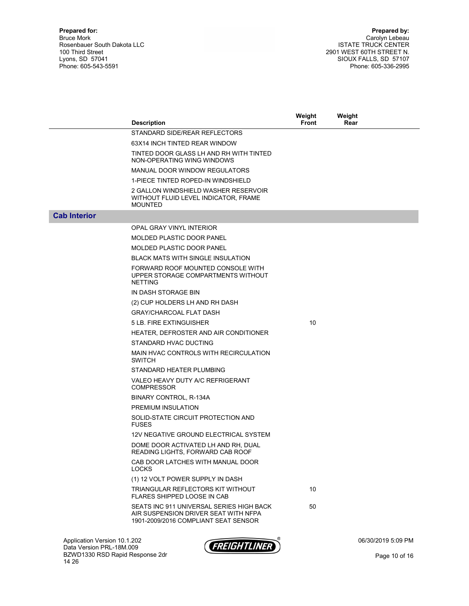|                     | <b>Description</b>                                                                                                       | Weight<br><b>Front</b> | Weight<br>Rear |  |
|---------------------|--------------------------------------------------------------------------------------------------------------------------|------------------------|----------------|--|
|                     | STANDARD SIDE/REAR REFLECTORS                                                                                            |                        |                |  |
|                     | 63X14 INCH TINTED REAR WINDOW                                                                                            |                        |                |  |
|                     |                                                                                                                          |                        |                |  |
|                     | TINTED DOOR GLASS LH AND RH WITH TINTED<br>NON-OPERATING WING WINDOWS                                                    |                        |                |  |
|                     | MANUAL DOOR WINDOW REGULATORS                                                                                            |                        |                |  |
|                     | 1-PIECE TINTED ROPED-IN WINDSHIELD                                                                                       |                        |                |  |
|                     | 2 GALLON WINDSHIELD WASHER RESERVOIR<br>WITHOUT FLUID LEVEL INDICATOR, FRAME<br><b>MOUNTED</b>                           |                        |                |  |
| <b>Cab Interior</b> |                                                                                                                          |                        |                |  |
|                     | OPAL GRAY VINYL INTERIOR                                                                                                 |                        |                |  |
|                     | <b>MOLDED PLASTIC DOOR PANEL</b>                                                                                         |                        |                |  |
|                     | <b>MOLDED PLASTIC DOOR PANEL</b>                                                                                         |                        |                |  |
|                     | <b>BLACK MATS WITH SINGLE INSULATION</b>                                                                                 |                        |                |  |
|                     | FORWARD ROOF MOUNTED CONSOLE WITH<br>UPPER STORAGE COMPARTMENTS WITHOUT<br><b>NETTING</b>                                |                        |                |  |
|                     | IN DASH STORAGE BIN                                                                                                      |                        |                |  |
|                     | (2) CUP HOLDERS LH AND RH DASH                                                                                           |                        |                |  |
|                     | <b>GRAY/CHARCOAL FLAT DASH</b>                                                                                           |                        |                |  |
|                     | 5 LB. FIRE EXTINGUISHER                                                                                                  | 10                     |                |  |
|                     | HEATER, DEFROSTER AND AIR CONDITIONER                                                                                    |                        |                |  |
|                     | STANDARD HVAC DUCTING                                                                                                    |                        |                |  |
|                     | MAIN HVAC CONTROLS WITH RECIRCULATION<br><b>SWITCH</b>                                                                   |                        |                |  |
|                     | STANDARD HEATER PLUMBING                                                                                                 |                        |                |  |
|                     | VALEO HEAVY DUTY A/C REFRIGERANT<br><b>COMPRESSOR</b>                                                                    |                        |                |  |
|                     | BINARY CONTROL, R-134A                                                                                                   |                        |                |  |
|                     | PREMIUM INSULATION                                                                                                       |                        |                |  |
|                     | SOLID-STATE CIRCUIT PROTECTION AND<br><b>FUSES</b>                                                                       |                        |                |  |
|                     | 12V NEGATIVE GROUND ELECTRICAL SYSTEM                                                                                    |                        |                |  |
|                     | DOME DOOR ACTIVATED LH AND RH, DUAL<br>READING LIGHTS, FORWARD CAB ROOF                                                  |                        |                |  |
|                     | CAB DOOR LATCHES WITH MANUAL DOOR<br><b>LOCKS</b>                                                                        |                        |                |  |
|                     | (1) 12 VOLT POWER SUPPLY IN DASH                                                                                         |                        |                |  |
|                     | TRIANGULAR REFLECTORS KIT WITHOUT<br>FLARES SHIPPED LOOSE IN CAB                                                         | 10                     |                |  |
|                     | SEATS INC 911 UNIVERSAL SERIES HIGH BACK<br>AIR SUSPENSION DRIVER SEAT WITH NFPA<br>1901-2009/2016 COMPLIANT SEAT SENSOR | 50                     |                |  |

Application Version 10.1.202 Data Version PRL-18M.009 BZWD1330 RSD Rapid Response 2dr 14 26



06/30/2019 5:09 PM

Page 10 of 16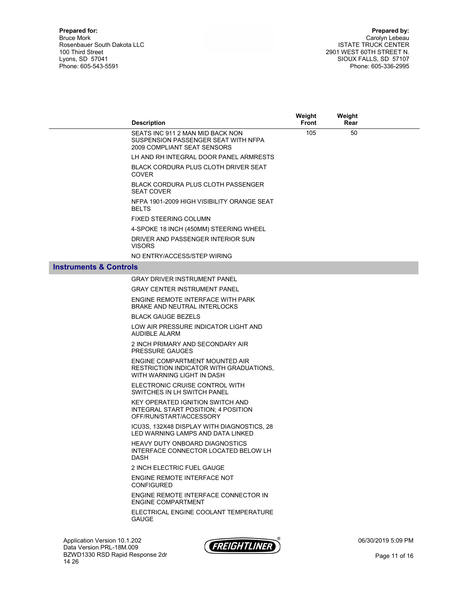|                                   | <b>Description</b>                                                                                        | Weight<br>Front | Weight<br>Rear |                    |
|-----------------------------------|-----------------------------------------------------------------------------------------------------------|-----------------|----------------|--------------------|
|                                   | SEATS INC 911 2 MAN MID BACK NON<br>SUSPENSION PASSENGER SEAT WITH NFPA<br>2009 COMPLIANT SEAT SENSORS    | 105             | 50             |                    |
|                                   | LH AND RH INTEGRAL DOOR PANEL ARMRESTS                                                                    |                 |                |                    |
|                                   | <b>BLACK CORDURA PLUS CLOTH DRIVER SEAT</b><br><b>COVER</b>                                               |                 |                |                    |
|                                   | <b>BLACK CORDURA PLUS CLOTH PASSENGER</b><br><b>SEAT COVER</b>                                            |                 |                |                    |
|                                   | NFPA 1901-2009 HIGH VISIBILITY ORANGE SEAT<br><b>BELTS</b>                                                |                 |                |                    |
|                                   | <b>FIXED STEERING COLUMN</b>                                                                              |                 |                |                    |
|                                   | 4-SPOKE 18 INCH (450MM) STEERING WHEEL                                                                    |                 |                |                    |
|                                   | DRIVER AND PASSENGER INTERIOR SUN<br><b>VISORS</b>                                                        |                 |                |                    |
|                                   | NO ENTRY/ACCESS/STEP WIRING                                                                               |                 |                |                    |
| <b>Instruments &amp; Controls</b> |                                                                                                           |                 |                |                    |
|                                   | <b>GRAY DRIVER INSTRUMENT PANEL</b>                                                                       |                 |                |                    |
|                                   | <b>GRAY CENTER INSTRUMENT PANEL</b>                                                                       |                 |                |                    |
|                                   | ENGINE REMOTE INTERFACE WITH PARK<br><b>BRAKE AND NEUTRAL INTERLOCKS</b>                                  |                 |                |                    |
|                                   | <b>BLACK GAUGE BEZELS</b>                                                                                 |                 |                |                    |
|                                   | LOW AIR PRESSURE INDICATOR LIGHT AND<br><b>AUDIBLE ALARM</b>                                              |                 |                |                    |
|                                   | 2 INCH PRIMARY AND SECONDARY AIR<br><b>PRESSURE GAUGES</b>                                                |                 |                |                    |
|                                   | ENGINE COMPARTMENT MOUNTED AIR<br>RESTRICTION INDICATOR WITH GRADUATIONS,<br>WITH WARNING LIGHT IN DASH   |                 |                |                    |
|                                   | ELECTRONIC CRUISE CONTROL WITH<br>SWITCHES IN LH SWITCH PANEL                                             |                 |                |                    |
|                                   | KEY OPERATED IGNITION SWITCH AND<br><b>INTEGRAL START POSITION: 4 POSITION</b><br>OFF/RUN/START/ACCESSORY |                 |                |                    |
|                                   | ICU3S, 132X48 DISPLAY WITH DIAGNOSTICS, 28<br>LED WARNING LAMPS AND DATA LINKED                           |                 |                |                    |
|                                   | <b>HEAVY DUTY ONBOARD DIAGNOSTICS</b><br>INTERFACE CONNECTOR LOCATED BELOW LH<br><b>DASH</b>              |                 |                |                    |
|                                   | 2 INCH ELECTRIC FUEL GAUGE                                                                                |                 |                |                    |
|                                   | ENGINE REMOTE INTERFACE NOT<br><b>CONFIGURED</b>                                                          |                 |                |                    |
|                                   | ENGINE REMOTE INTERFACE CONNECTOR IN<br><b>ENGINE COMPARTMENT</b>                                         |                 |                |                    |
|                                   | ELECTRICAL ENGINE COOLANT TEMPERATURE<br><b>GAUGE</b>                                                     |                 |                |                    |
| Application Version 10.1.202      | $- - - - - -$                                                                                             |                 |                | 06/30/2019 5:09 PM |

Data Version PRL-18M.009 BZWD1330 RSD Rapid Response 2dr 14 26

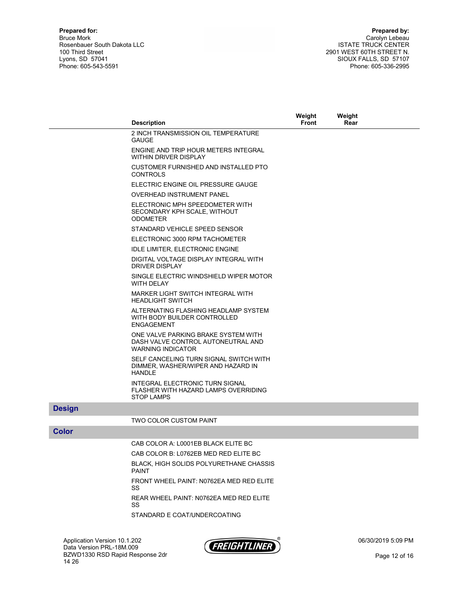|               | <b>Description</b>                                                                                    | Weight<br><b>Front</b> | Weight<br>Rear |  |
|---------------|-------------------------------------------------------------------------------------------------------|------------------------|----------------|--|
|               | 2 INCH TRANSMISSION OIL TEMPERATURE<br><b>GAUGE</b>                                                   |                        |                |  |
|               | ENGINE AND TRIP HOUR METERS INTEGRAL<br><b>WITHIN DRIVER DISPLAY</b>                                  |                        |                |  |
|               | CUSTOMER FURNISHED AND INSTALLED PTO<br><b>CONTROLS</b>                                               |                        |                |  |
|               | ELECTRIC ENGINE OIL PRESSURE GAUGE                                                                    |                        |                |  |
|               | <b>OVERHEAD INSTRUMENT PANEL</b>                                                                      |                        |                |  |
|               | ELECTRONIC MPH SPEEDOMETER WITH<br>SECONDARY KPH SCALE, WITHOUT<br><b>ODOMETER</b>                    |                        |                |  |
|               | STANDARD VEHICLE SPEED SENSOR                                                                         |                        |                |  |
|               | ELECTRONIC 3000 RPM TACHOMETER                                                                        |                        |                |  |
|               | <b>IDLE LIMITER, ELECTRONIC ENGINE</b>                                                                |                        |                |  |
|               | DIGITAL VOLTAGE DISPLAY INTEGRAL WITH<br><b>DRIVER DISPLAY</b>                                        |                        |                |  |
|               | SINGLE ELECTRIC WINDSHIELD WIPER MOTOR<br><b>WITH DELAY</b>                                           |                        |                |  |
|               | MARKER LIGHT SWITCH INTEGRAL WITH<br><b>HEADLIGHT SWITCH</b>                                          |                        |                |  |
|               | ALTERNATING FLASHING HEADLAMP SYSTEM<br>WITH BODY BUILDER CONTROLLED<br><b>ENGAGEMENT</b>             |                        |                |  |
|               | ONE VALVE PARKING BRAKE SYSTEM WITH<br>DASH VALVE CONTROL AUTONEUTRAL AND<br><b>WARNING INDICATOR</b> |                        |                |  |
|               | SELF CANCELING TURN SIGNAL SWITCH WITH<br>DIMMER, WASHER/WIPER AND HAZARD IN<br><b>HANDLE</b>         |                        |                |  |
|               | INTEGRAL ELECTRONIC TURN SIGNAL<br>FLASHER WITH HAZARD LAMPS OVERRIDING<br><b>STOP LAMPS</b>          |                        |                |  |
| <b>Design</b> |                                                                                                       |                        |                |  |
|               | TWO COLOR CUSTOM PAINT                                                                                |                        |                |  |
| <b>Color</b>  |                                                                                                       |                        |                |  |
|               | CAB COLOR A: L0001EB BLACK ELITE BC                                                                   |                        |                |  |
|               | CAB COLOR B: L0762EB MED RED ELITE BC                                                                 |                        |                |  |
|               | <b>DLACK LIICH COLIDE DOLVLIDETLIANE CHACCIC</b>                                                      |                        |                |  |

 BLACK, HIGH SOLIDS POLYURETHANE CHASSIS PAINT FRONT WHEEL PAINT: N0762EA MED RED ELITE SS

> REAR WHEEL PAINT: N0762EA MED RED ELITE SS

STANDARD E COAT/UNDERCOATING

Application Version 10.1.202 Data Version PRL-18M.009 BZWD1330 RSD Rapid Response 2dr 14 26



06/30/2019 5:09 PM

Page 12 of 16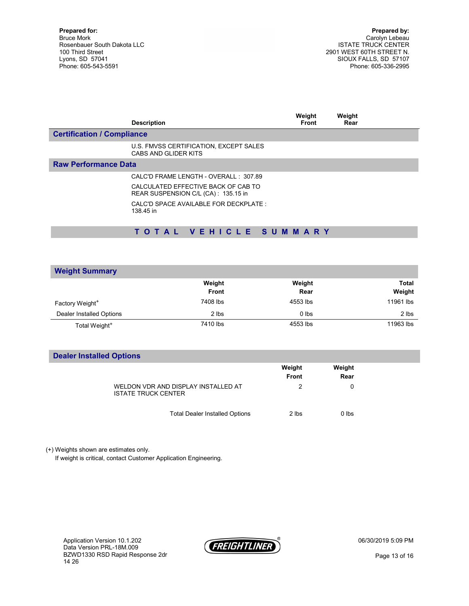Prepared by: Carolyn Lebeau ISTATE TRUCK CENTER 2901 WEST 60TH STREET N. SIOUX FALLS, SD 57107 Phone: 605-336-2995

|                                   | <b>Description</b>                                                         | Weight<br><b>Front</b> | Weight<br>Rear |  |
|-----------------------------------|----------------------------------------------------------------------------|------------------------|----------------|--|
| <b>Certification / Compliance</b> |                                                                            |                        |                |  |
|                                   | U.S. FMVSS CERTIFICATION, EXCEPT SALES<br>CABS AND GLIDER KITS             |                        |                |  |
| <b>Raw Performance Data</b>       |                                                                            |                        |                |  |
|                                   | CALC'D FRAME LENGTH - OVERALL : 307.89                                     |                        |                |  |
|                                   | CALCULATED EFFECTIVE BACK OF CAB TO<br>REAR SUSPENSION C/L (CA): 135.15 in |                        |                |  |
|                                   | CALC'D SPACE AVAILABLE FOR DECKPLATE.<br>138.45 in                         |                        |                |  |
|                                   |                                                                            |                        |                |  |

## T O T A L V E H I C L E S U M M A R Y

| <b>Weight Summary</b>       |              |          |              |
|-----------------------------|--------------|----------|--------------|
|                             | Weight       | Weight   | <b>Total</b> |
|                             | <b>Front</b> | Rear     | Weight       |
| Factory Weight <sup>+</sup> | 7408 lbs     | 4553 lbs | 11961 lbs    |
| Dealer Installed Options    | 2 lbs        | $0$ lbs  | 2 lbs        |
| Total Weight <sup>+</sup>   | 7410 lbs     | 4553 lbs | 11963 lbs    |

### Dealer Installed Options

|                                                                   | Weight<br><b>Front</b> | Weight<br>Rear |
|-------------------------------------------------------------------|------------------------|----------------|
| WELDON VDR AND DISPLAY INSTALLED AT<br><b>ISTATE TRUCK CENTER</b> | 2                      | 0              |
| <b>Total Dealer Installed Options</b>                             | 2 lbs                  | $0$ lbs        |

(+) Weights shown are estimates only.

If weight is critical, contact Customer Application Engineering.

Application Version 10.1.202 Data Version PRL-18M.009 BZWD1330 RSD Rapid Response 2dr 14 26



06/30/2019 5:09 PM

Page 13 of 16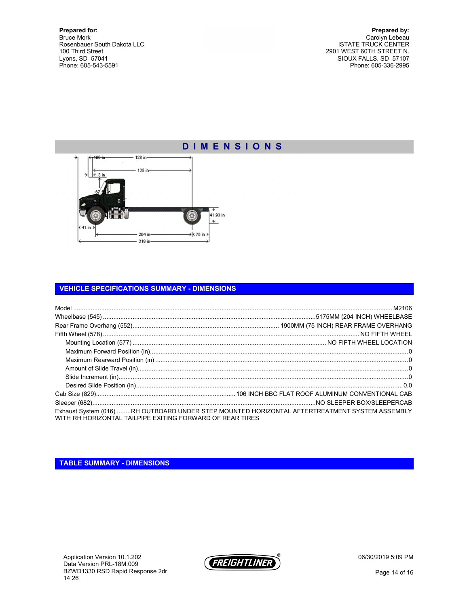Prepared by: Carolyn Lebeau ISTATE TRUCK CENTER 2901 WEST 60TH STREET N. SIOUX FALLS, SD 57107 Phone: 605-336-2995



#### VEHICLE SPECIFICATIONS SUMMARY - DIMENSIONS

| WITH RH HORIZONTAL TAILPIPE EXITING FORWARD OF REAR TIRES | Exhaust System (016) RH OUTBOARD UNDER STEP MOUNTED HORIZONTAL AFTERTREATMENT SYSTEM ASSEMBLY |
|-----------------------------------------------------------|-----------------------------------------------------------------------------------------------|

### TABLE SUMMARY - DIMENSIONS



06/30/2019 5:09 PM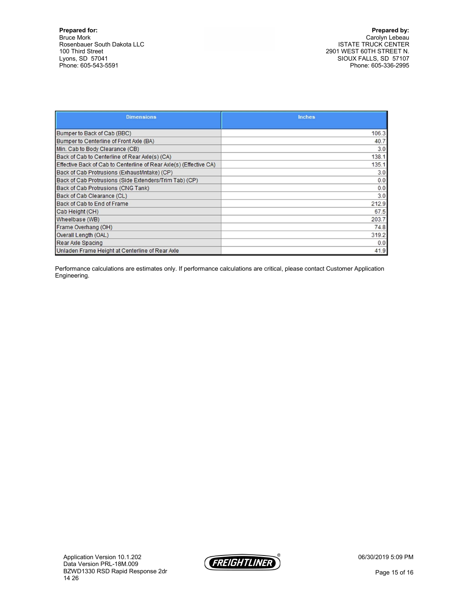Prepared by: Carolyn Lebeau ISTATE TRUCK CENTER 2901 WEST 60TH STREET N. SIOUX FALLS, SD 57107 Phone: 605-336-2995

| <b>Dimensions</b>                                                  | <b>Inches</b> |
|--------------------------------------------------------------------|---------------|
|                                                                    |               |
| Bumper to Back of Cab (BBC)                                        | 106.3         |
| Bumper to Centerline of Front Axle (BA)                            | 40.7          |
| Min. Cab to Body Clearance (CB)                                    | 3.0           |
| Back of Cab to Centerline of Rear Axle(s) (CA)                     | 138.1         |
| Effective Back of Cab to Centerline of Rear Axle(s) (Effective CA) | 135.1         |
| Back of Cab Protrusions (Exhaust/Intake) (CP)                      | 3.0           |
| Back of Cab Protrusions (Side Extenders/Trim Tab) (CP)             | 0.0           |
| Back of Cab Protrusions (CNG Tank)                                 | 0.0           |
| Back of Cab Clearance (CL)                                         | 3.0           |
| Back of Cab to End of Frame                                        | 212.9         |
| Cab Height (CH)                                                    | 67.5          |
| Wheelbase (WB)                                                     | 203.7         |
| Frame Overhang (OH)                                                | 74.8          |
| Overall Length (OAL)                                               | 319.2         |
| Rear Axle Spacing                                                  | 0.0           |
| Unladen Frame Height at Centerline of Rear Axle                    | 41.9          |

Performance calculations are estimates only. If performance calculations are critical, please contact Customer Application Engineering.